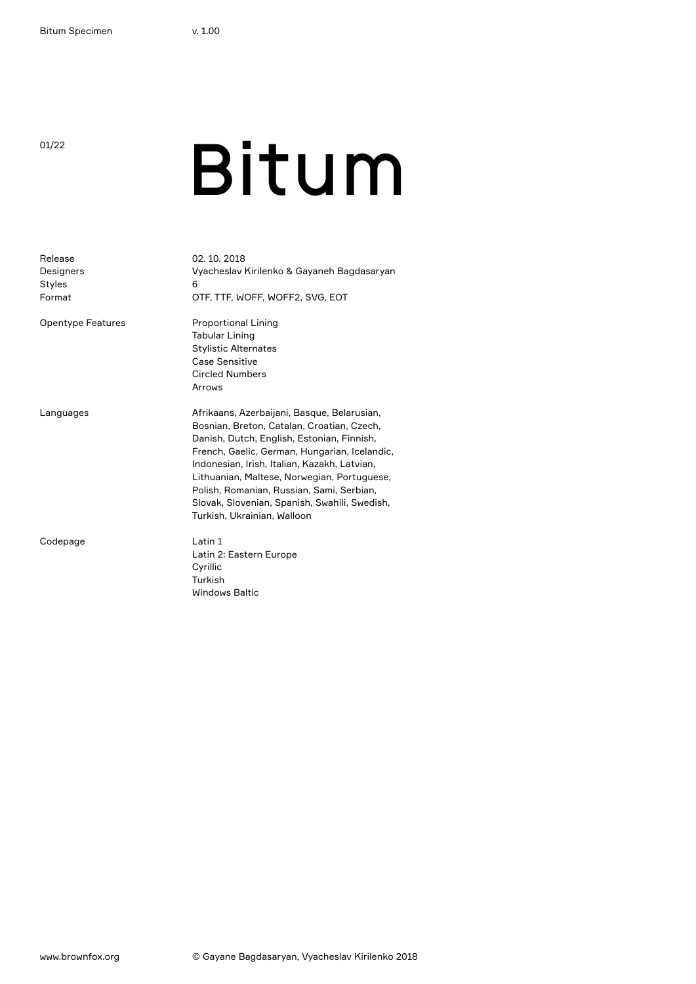# <sup>o1/22</sup> Bitum

| Release<br>Designers<br><b>Styles</b><br>Format | 02.10.2018<br>Vyacheslav Kirilenko & Gayaneh Bagdasaryan<br>6<br>OTF, TTF, WOFF, WOFF2, SVG, EOT                                                                                                                                                                                                                                                                                                                     |
|-------------------------------------------------|----------------------------------------------------------------------------------------------------------------------------------------------------------------------------------------------------------------------------------------------------------------------------------------------------------------------------------------------------------------------------------------------------------------------|
| <b>Opentype Features</b>                        | <b>Proportional Lining</b><br><b>Tabular Lining</b><br><b>Stylistic Alternates</b><br>Case Sensitive<br><b>Circled Numbers</b><br>Arrows                                                                                                                                                                                                                                                                             |
| Languages                                       | Afrikaans, Azerbaijani, Basque, Belarusian,<br>Bosnian, Breton, Catalan, Croatian, Czech,<br>Danish, Dutch, English, Estonian, Finnish,<br>French, Gaelic, German, Hungarian, Icelandic,<br>Indonesian, Irish, Italian, Kazakh, Latvian,<br>Lithuanian, Maltese, Norwegian, Portuguese,<br>Polish, Romanian, Russian, Sami, Serbian,<br>Slovak, Slovenian, Spanish, Swahili, Swedish,<br>Turkish, Ukrainian, Walloon |
| Codepage                                        | Latin 1<br>Latin 2: Eastern Europe<br>Cyrillic<br>Turkish<br><b>Windows Baltic</b>                                                                                                                                                                                                                                                                                                                                   |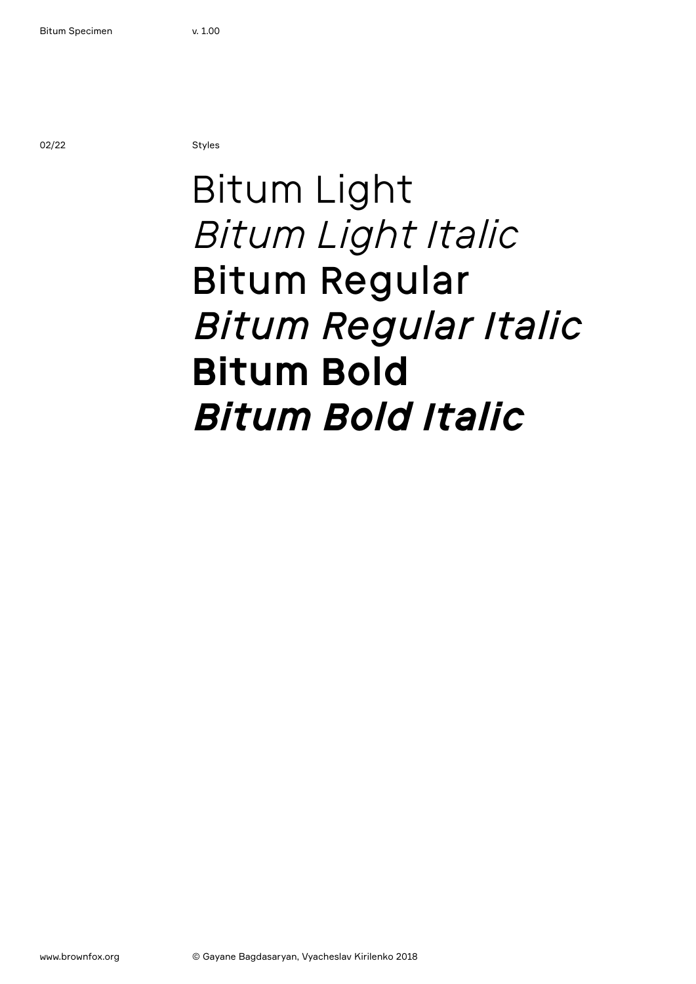02/22 Styles

### Bitum Light *Bitum Light Italic* Bitum Regular *Bitum Regular Italic* **Bitum Bold** *Bitum Bold Italic*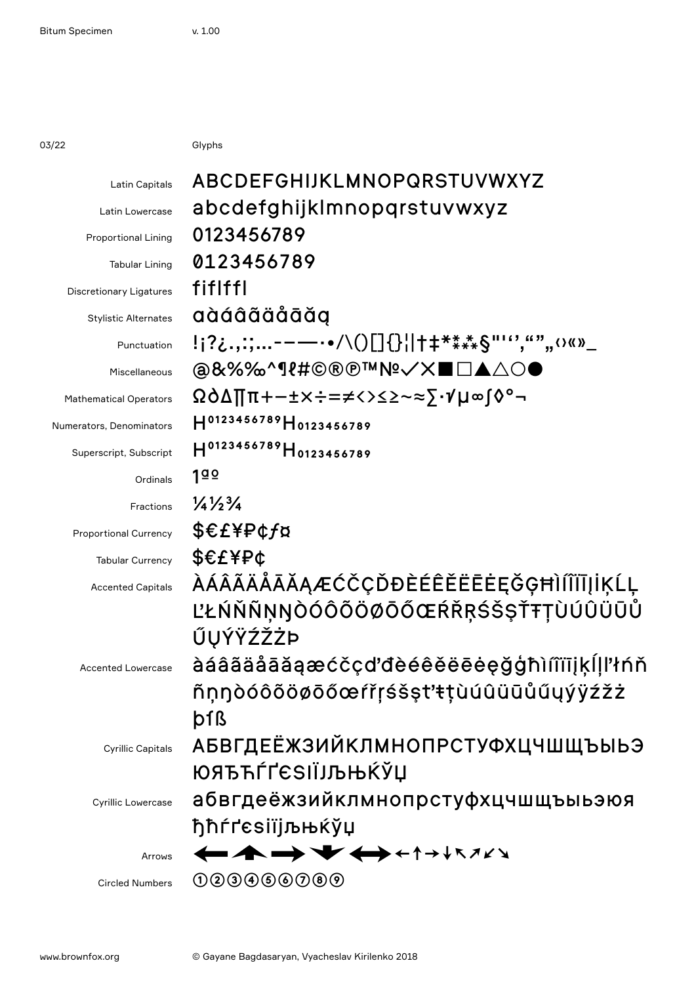03/22 Glyphs

| ABCDEFGHIJKLMNOPQRSTUVWXYZ                   |
|----------------------------------------------|
| abcdefghijklmnopqrstuvwxyz                   |
| 0123456789                                   |
| 0123456789                                   |
| fiflffl                                      |
| aàáâãäåāăg                                   |
| !¡?¿.,:;-----•/\()[]{}¦ †‡****§"''',"""‹›«»_ |
| @&%%^¶{#©®®™№✓✕■□▲△○●                        |
| ΩÒ∆∏π+−±×÷=≠<>≤≥~≈⋝∙√µ∞ſ◊°¬                  |
| H0123456789H0123456789                       |
| H0123456789 H0123456789                      |
| 190                                          |
| $\frac{1}{4}\frac{1}{2}\frac{3}{4}$          |
| \$€£¥₽¢f¤                                    |
| EEF                                          |
| <i></i> ÀÁÂÃÄÅĀĂĄÆĆČÇĎĐÈÉÊĚËĒĖĘĞĢĦÌÍĨĬĪĮİĶĹĻ |
| ĽŁŃŇÑŅŊÒÓÔÕÖØŌŐŒŔŘŖŚŠŞŤŦŢÙÚÛÜŪŮ              |
| ŰŲÝŸŹŽŻÞ                                     |
| àáâãäåāăąæćčçďdèéêěëēeęğģħìíîïīįķĺḷľłńň      |
| ñņŋòóôõöøōőœŕřŗśšşt'ŧţùúûüūůűųýÿźžż          |
| þfß                                          |
| <b>АБВГДЕЁЖЗИЙКЛМНОПРСТУФХЦЧШЩЪЫЬЭ</b>       |
| ЮЯЂЋЃҐЄЅІЇЈЉЊЌЎЏ                             |
| абвгдеёжзийклмнопрстуфхцчшщъыьэюя            |
| ђћѓґєѕіїјљњќўџ                               |
| ←▲◆◆←←←←                                     |
| 000000000                                    |
|                                              |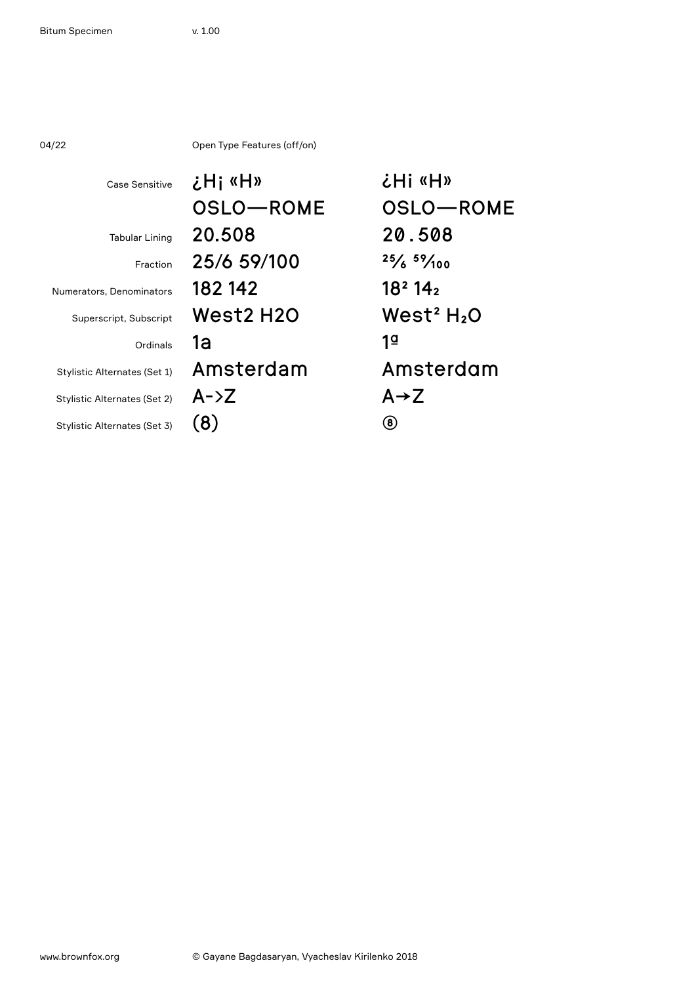| 04/22 |  |  |
|-------|--|--|
|       |  |  |

04/22 Open Type Features (off/on)

| <b>Case Sensitive</b>        | «H» ¡Hخ      | <b>こけi «H»</b>                  |
|------------------------------|--------------|---------------------------------|
|                              | OSLO-ROME    | OSLO-ROME                       |
| <b>Tabular Lining</b>        | 20.508       | 20.508                          |
| Fraction                     | 25/6 59/100  | $25/6$ $59/100$                 |
| Numerators, Denominators     | 182 142      | 18 <sup>2</sup> 14 <sub>2</sub> |
| Superscript, Subscript       | West2 H2O    | West <sup>2</sup> $H_2O$        |
| Ordinals                     | 1а           | 1₫                              |
| Stylistic Alternates (Set 1) | Amsterdam    | Amsterdam                       |
| Stylistic Alternates (Set 2) | $A - \Sigma$ | $A \rightarrow Z$               |
| Stylistic Alternates (Set 3) | (8)          | $\bf{(8)}$                      |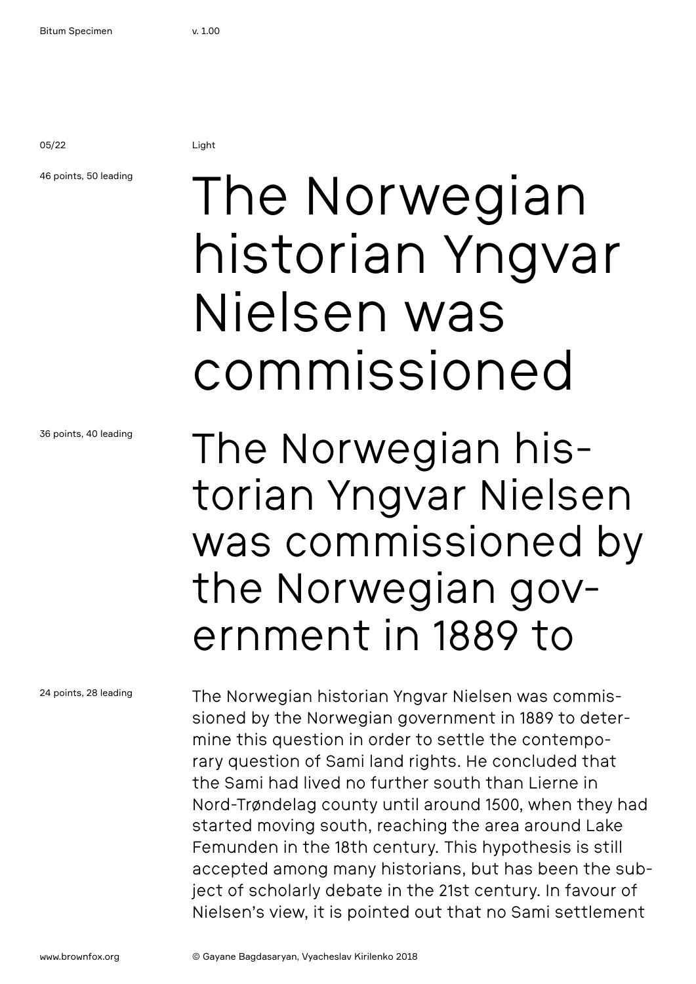05/22 Light

### 46 points, 50 leading

## The Norwegian historian Yngvar Nielsen was commissioned

36 points, 40 leading

The Norwegian historian Yngvar Nielsen was commissioned by the Norwegian government in 1889 to

24 points, 28 leading

The Norwegian historian Yngvar Nielsen was commissioned by the Norwegian government in 1889 to determine this question in order to settle the contemporary question of Sami land rights. He concluded that the Sami had lived no further south than Lierne in Nord-Trøndelag county until around 1500, when they had started moving south, reaching the area around Lake Femunden in the 18th century. This hypothesis is still accepted among many historians, but has been the subject of scholarly debate in the 21st century. In favour of Nielsen's view, it is pointed out that no Sami settlement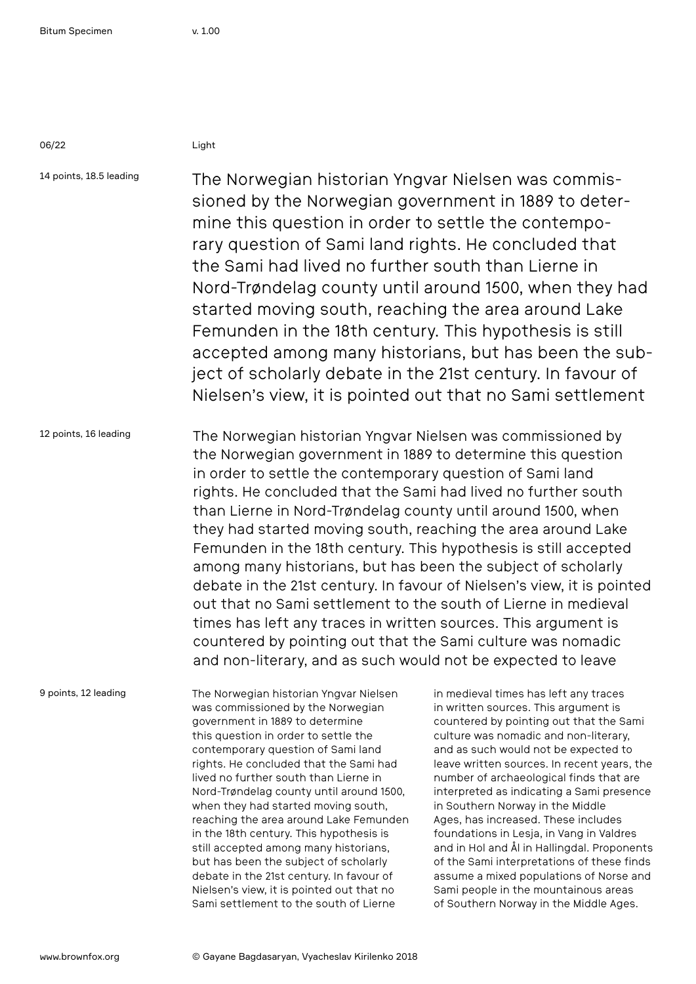06/22 Light

14 points, 18.5 leading 12 points, 16 leading The Norwegian historian Yngvar Nielsen was commissioned by the Norwegian government in 1889 to determine this question in order to settle the contemporary question of Sami land rights. He concluded that the Sami had lived no further south than Lierne in Nord-Trøndelag county until around 1500, when they had started moving south, reaching the area around Lake Femunden in the 18th century. This hypothesis is still accepted among many historians, but has been the subject of scholarly debate in the 21st century. In favour of Nielsen's view, it is pointed out that no Sami settlement The Norwegian historian Yngvar Nielsen was commissioned by

the Norwegian government in 1889 to determine this question in order to settle the contemporary question of Sami land rights. He concluded that the Sami had lived no further south than Lierne in Nord-Trøndelag county until around 1500, when they had started moving south, reaching the area around Lake Femunden in the 18th century. This hypothesis is still accepted among many historians, but has been the subject of scholarly debate in the 21st century. In favour of Nielsen's view, it is pointed out that no Sami settlement to the south of Lierne in medieval times has left any traces in written sources. This argument is countered by pointing out that the Sami culture was nomadic and non-literary, and as such would not be expected to leave

9 points, 12 leading

The Norwegian historian Yngvar Nielsen was commissioned by the Norwegian government in 1889 to determine this question in order to settle the contemporary question of Sami land rights. He concluded that the Sami had lived no further south than Lierne in Nord-Trøndelag county until around 1500, when they had started moving south, reaching the area around Lake Femunden in the 18th century. This hypothesis is still accepted among many historians, but has been the subject of scholarly debate in the 21st century. In favour of Nielsen's view, it is pointed out that no Sami settlement to the south of Lierne

in medieval times has left any traces in written sources. This argument is countered by pointing out that the Sami culture was nomadic and non-literary, and as such would not be expected to leave written sources. In recent years, the number of archaeological finds that are interpreted as indicating a Sami presence in Southern Norway in the Middle Ages, has increased. These includes foundations in Lesja, in Vang in Valdres and in Hol and Ål in Hallingdal. Proponents of the Sami interpretations of these finds assume a mixed populations of Norse and Sami people in the mountainous areas of Southern Norway in the Middle Ages.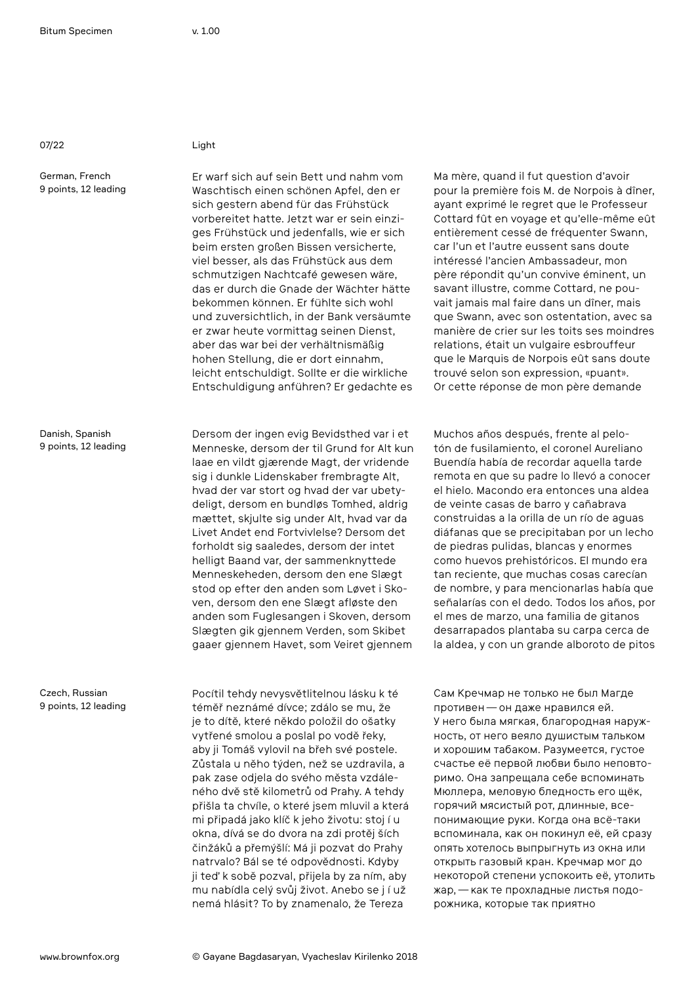07/22 Light

German, French 9 points, 12 leading

Danish, Spanish 9 points, 12 leading

Czech, Russian 9 points, 12 leading

Er warf sich auf sein Bett und nahm vom Waschtisch einen schönen Apfel, den er sich gestern abend für das Frühstück vorbereitet hatte. Jetzt war er sein einziges Frühstück und jedenfalls, wie er sich beim ersten großen Bissen versicherte, viel besser, als das Frühstück aus dem schmutzigen Nachtcafé gewesen wäre, das er durch die Gnade der Wächter hätte bekommen können. Er fühlte sich wohl und zuversichtlich, in der Bank versäumte er zwar heute vormittag seinen Dienst, aber das war bei der verhältnismäßig hohen Stellung, die er dort einnahm, leicht entschuldigt. Sollte er die wirkliche Entschuldigung anführen? Er gedachte es

Dersom der ingen evig Bevidsthed var i et Menneske, dersom der til Grund for Alt kun laae en vildt gjærende Magt, der vridende sig i dunkle Lidenskaber frembragte Alt, hvad der var stort og hvad der var ubetydeligt, dersom en bundløs Tomhed, aldrig mættet, skjulte sig under Alt, hvad var da Livet Andet end Fortvivlelse? Dersom det forholdt sig saaledes, dersom der intet helligt Baand var, der sammenknyttede Menneskeheden, dersom den ene Slægt stod op efter den anden som Løvet i Skoven, dersom den ene Slægt afløste den anden som Fuglesangen i Skoven, dersom Slægten gik gjennem Verden, som Skibet gaaer gjennem Havet, som Veiret gjennem

Pocítil tehdy nevysvětlitelnou lásku k té téměř neznámé dívce; zdálo se mu, že je to dítě, které někdo položil do ošatky vytřené smolou a poslal po vodě řeky, aby ji Tomáš vylovil na břeh své postele. Zůstala u něho týden, než se uzdravila, a pak zase odjela do svého města vzdáleného dvě stě kilometrů od Prahy. A tehdy přišla ta chvíle, o které jsem mluvil a která mi připadá jako klíč k jeho životu: stoj í u okna, dívá se do dvora na zdi protěj ších činžáků a přemýšlí: Má ji pozvat do Prahy natrvalo? Bál se té odpovědnosti. Kdyby ji teď k sobě pozval, přijela by za ním, aby mu nabídla celý svůj život. Anebo se j í už nemá hlásit? To by znamenalo, že Tereza

Ma mère, quand il fut question d'avoir pour la première fois M. de Norpois à dîner, ayant exprimé le regret que le Professeur Cottard fût en voyage et qu'elle-même eût entièrement cessé de fréquenter Swann, car l'un et l'autre eussent sans doute intéressé l'ancien Ambassadeur, mon père répondit qu'un convive éminent, un savant illustre, comme Cottard, ne pouvait jamais mal faire dans un dîner, mais que Swann, avec son ostentation, avec sa manière de crier sur les toits ses moindres relations, était un vulgaire esbrouffeur que le Marquis de Norpois eût sans doute trouvé selon son expression, «puant». Or cette réponse de mon père demande

Muchos años después, frente al pelotón de fusilamiento, el coronel Aureliano Buendía había de recordar aquella tarde remota en que su padre lo llevó a conocer el hielo. Macondo era entonces una aldea de veinte casas de barro y cañabrava construidas a la orilla de un río de aguas diáfanas que se precipitaban por un lecho de piedras pulidas, blancas y enormes como huevos prehistóricos. El mundo era tan reciente, que muchas cosas carecían de nombre, y para mencionarlas había que señalarías con el dedo. Todos los años, por el mes de marzo, una familia de gitanos desarrapados plantaba su carpa cerca de la aldea, y con un grande alboroto de pitos

Сам Кречмар не только не был Магде противен—он даже нравился ей. У него была мягкая, благородная наружность, от него веяло душистым тальком и хорошим табаком. Разумеется, густое счастье её первой любви было неповторимо. Она запрещала себе вспоминать Мюллера, меловую бледность его щёк, горячий мясистый рот, длинные, всепонимающие руки. Когда она всё-таки вспоминала, как он покинул её, ей сразу опять хотелось выпрыгнуть из окна или открыть газовый кран. Кречмар мог до некоторой степени успокоить её, утолить жар,—как те прохладные листья подорожника, которые так приятно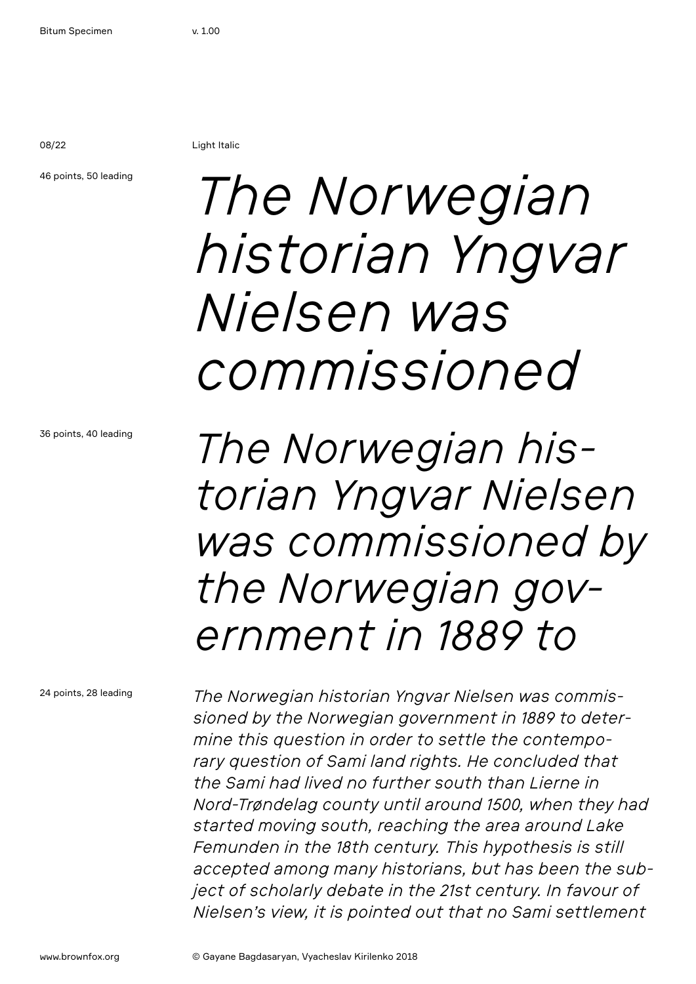08/22 Light Italic

#### 46 points, 50 leading

## *The Norwegian historian Yngvar Nielsen was commissioned*

36 points, 40 leading

*The Norwegian historian Yngvar Nielsen was commissioned by the Norwegian government in 1889 to* 

24 points, 28 leading

*The Norwegian historian Yngvar Nielsen was commissioned by the Norwegian government in 1889 to determine this question in order to settle the contemporary question of Sami land rights. He concluded that the Sami had lived no further south than Lierne in Nord-Trøndelag county until around 1500, when they had started moving south, reaching the area around Lake Femunden in the 18th century. This hypothesis is still accepted among many historians, but has been the subject of scholarly debate in the 21st century. In favour of Nielsen's view, it is pointed out that no Sami settlement*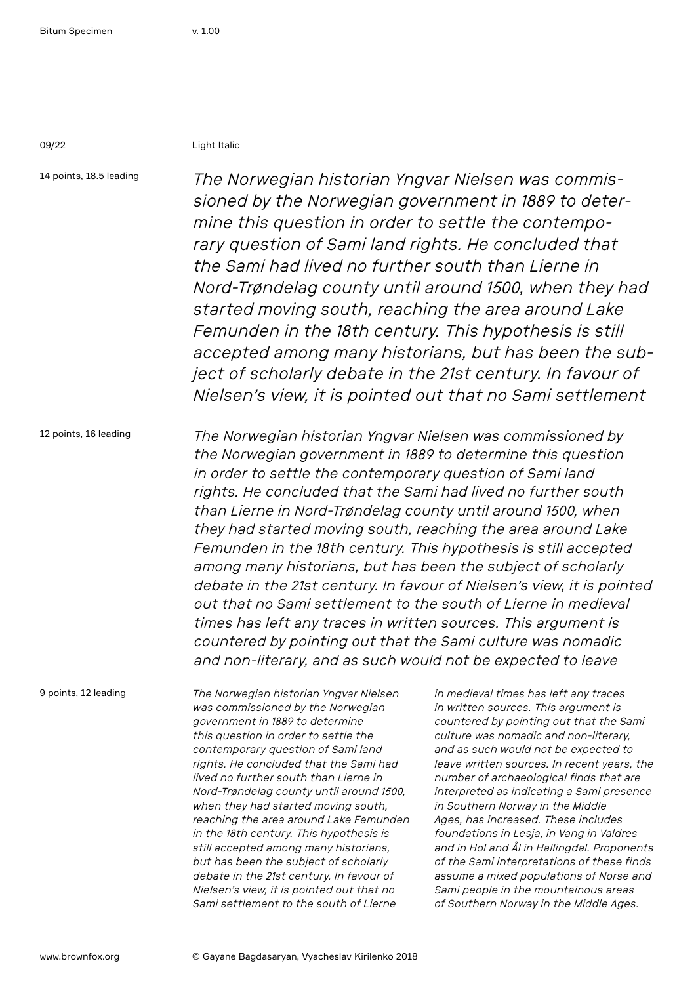09/22 Light Italic

14 points, 18.5 leading *The Norwegian historian Yngvar Nielsen was commissioned by the Norwegian government in 1889 to determine this question in order to settle the contemporary question of Sami land rights. He concluded that the Sami had lived no further south than Lierne in Nord-Trøndelag county until around 1500, when they had started moving south, reaching the area around Lake Femunden in the 18th century. This hypothesis is still accepted among many historians, but has been the subject of scholarly debate in the 21st century. In favour of Nielsen's view, it is pointed out that no Sami settlement* 

12 points, 16 leading *The Norwegian historian Yngvar Nielsen was commissioned by the Norwegian government in 1889 to determine this question in order to settle the contemporary question of Sami land rights. He concluded that the Sami had lived no further south than Lierne in Nord-Trøndelag county until around 1500, when they had started moving south, reaching the area around Lake Femunden in the 18th century. This hypothesis is still accepted among many historians, but has been the subject of scholarly debate in the 21st century. In favour of Nielsen's view, it is pointed out that no Sami settlement to the south of Lierne in medieval times has left any traces in written sources. This argument is countered by pointing out that the Sami culture was nomadic and non-literary, and as such would not be expected to leave* 

9 points, 12 leading

*The Norwegian historian Yngvar Nielsen was commissioned by the Norwegian government in 1889 to determine this question in order to settle the contemporary question of Sami land rights. He concluded that the Sami had lived no further south than Lierne in Nord-Trøndelag county until around 1500, when they had started moving south, reaching the area around Lake Femunden in the 18th century. This hypothesis is still accepted among many historians, but has been the subject of scholarly debate in the 21st century. In favour of Nielsen's view, it is pointed out that no Sami settlement to the south of Lierne* 

*in medieval times has left any traces in written sources. This argument is countered by pointing out that the Sami culture was nomadic and non-literary, and as such would not be expected to leave written sources. In recent years, the number of archaeological finds that are interpreted as indicating a Sami presence in Southern Norway in the Middle Ages, has increased. These includes foundations in Lesja, in Vang in Valdres and in Hol and Ål in Hallingdal. Proponents of the Sami interpretations of these finds assume a mixed populations of Norse and Sami people in the mountainous areas of Southern Norway in the Middle Ages.*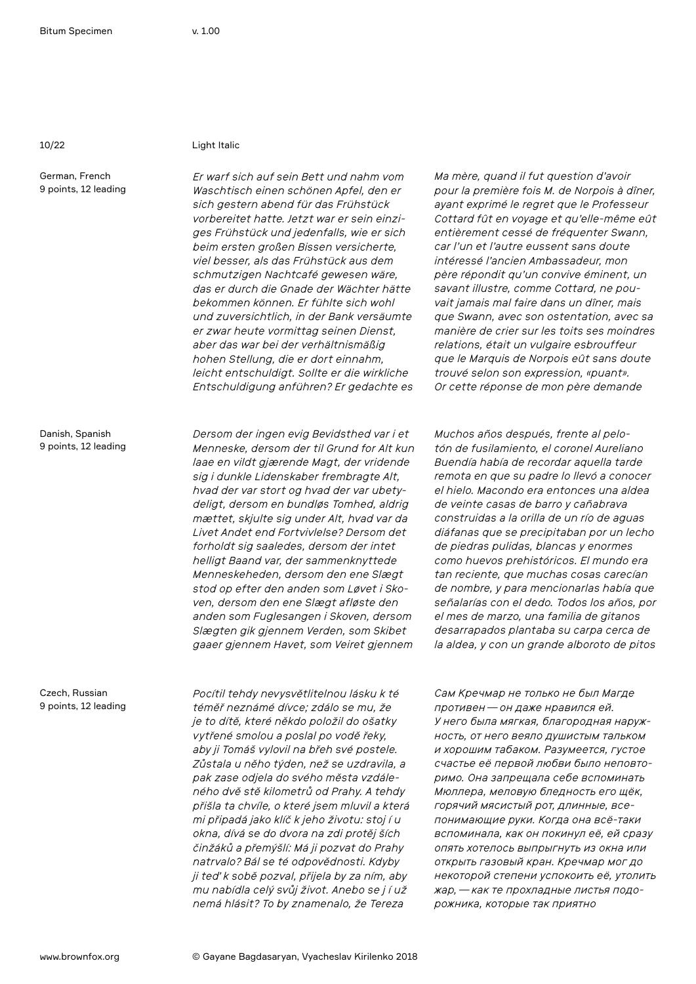German, French 9 points, 12 leading

Danish, Spanish 9 points, 12 leading

10/22 Light Italic

*Er warf sich auf sein Bett und nahm vom Waschtisch einen schönen Apfel, den er sich gestern abend für das Frühstück vorbereitet hatte. Jetzt war er sein einziges Frühstück und jedenfalls, wie er sich beim ersten großen Bissen versicherte, viel besser, als das Frühstück aus dem schmutzigen Nachtcafé gewesen wäre, das er durch die Gnade der Wächter hätte bekommen können. Er fühlte sich wohl und zuversichtlich, in der Bank versäumte er zwar heute vormittag seinen Dienst, aber das war bei der verhältnismäßig hohen Stellung, die er dort einnahm, leicht entschuldigt. Sollte er die wirkliche Entschuldigung anführen? Er gedachte es* 

*Dersom der ingen evig Bevidsthed var i et Menneske, dersom der til Grund for Alt kun laae en vildt gjærende Magt, der vridende sig i dunkle Lidenskaber frembragte Alt, hvad der var stort og hvad der var ubetydeligt, dersom en bundløs Tomhed, aldrig mættet, skjulte sig under Alt, hvad var da Livet Andet end Fortvivlelse? Dersom det forholdt sig saaledes, dersom der intet helligt Baand var, der sammenknyttede Menneskeheden, dersom den ene Slægt stod op efter den anden som Løvet i Skoven, dersom den ene Slægt afløste den anden som Fuglesangen i Skoven, dersom Slægten gik gjennem Verden, som Skibet gaaer gjennem Havet, som Veiret gjennem* 

*Pocítil tehdy nevysvětlitelnou lásku k té téměř neznámé dívce; zdálo se mu, že je to dítě, které někdo položil do ošatky vytřené smolou a poslal po vodě řeky, aby ji Tomáš vylovil na břeh své postele. Zůstala u něho týden, než se uzdravila, a pak zase odjela do svého města vzdáleného dvě stě kilometrů od Prahy. A tehdy přišla ta chvíle, o které jsem mluvil a která mi připadá jako klíč k jeho životu: stoj í u okna, dívá se do dvora na zdi protěj ších činžáků a přemýšlí: Má ji pozvat do Prahy natrvalo? Bál se té odpovědnosti. Kdyby ji teď k sobě pozval, přijela by za ním, aby mu nabídla celý svůj život. Anebo se j í už nemá hlásit? To by znamenalo, že Tereza* 

*Ma mère, quand il fut question d'avoir pour la première fois M. de Norpois à dîner, ayant exprimé le regret que le Professeur Cottard fût en voyage et qu'elle-même eût entièrement cessé de fréquenter Swann, car l'un et l'autre eussent sans doute intéressé l'ancien Ambassadeur, mon père répondit qu'un convive éminent, un savant illustre, comme Cottard, ne pouvait jamais mal faire dans un dîner, mais que Swann, avec son ostentation, avec sa manière de crier sur les toits ses moindres relations, était un vulgaire esbrouffeur que le Marquis de Norpois eût sans doute trouvé selon son expression, «puant». Or cette réponse de mon père demande* 

*Muchos años después, frente al pelotón de fusilamiento, el coronel Aureliano Buendía había de recordar aquella tarde remota en que su padre lo llevó a conocer el hielo. Macondo era entonces una aldea de veinte casas de barro y cañabrava construidas a la orilla de un río de aguas diáfanas que se precipitaban por un lecho de piedras pulidas, blancas y enormes como huevos prehistóricos. El mundo era tan reciente, que muchas cosas carecían de nombre, y para mencionarlas había que señalarías con el dedo. Todos los años, por el mes de marzo, una familia de gitanos desarrapados plantaba su carpa cerca de la aldea, y con un grande alboroto de pitos* 

*Сам Кречмар не только не был Магде противен—он даже нравился ей. У него была мягкая, благородная наружность, от него веяло душистым тальком и хорошим табаком. Разумеется, густое счастье её первой любви было неповторимо. Она запрещала себе вспоминать Мюллера, меловую бледность его щёк, горячий мясистый рот, длинные, всепонимающие руки. Когда она всё-таки вспоминала, как он покинул её, ей сразу опять хотелось выпрыгнуть из окна или открыть газовый кран. Кречмар мог до некоторой степени успокоить её, утолить жар,—как те прохладные листья подорожника, которые так приятно*

Czech, Russian 9 points, 12 leading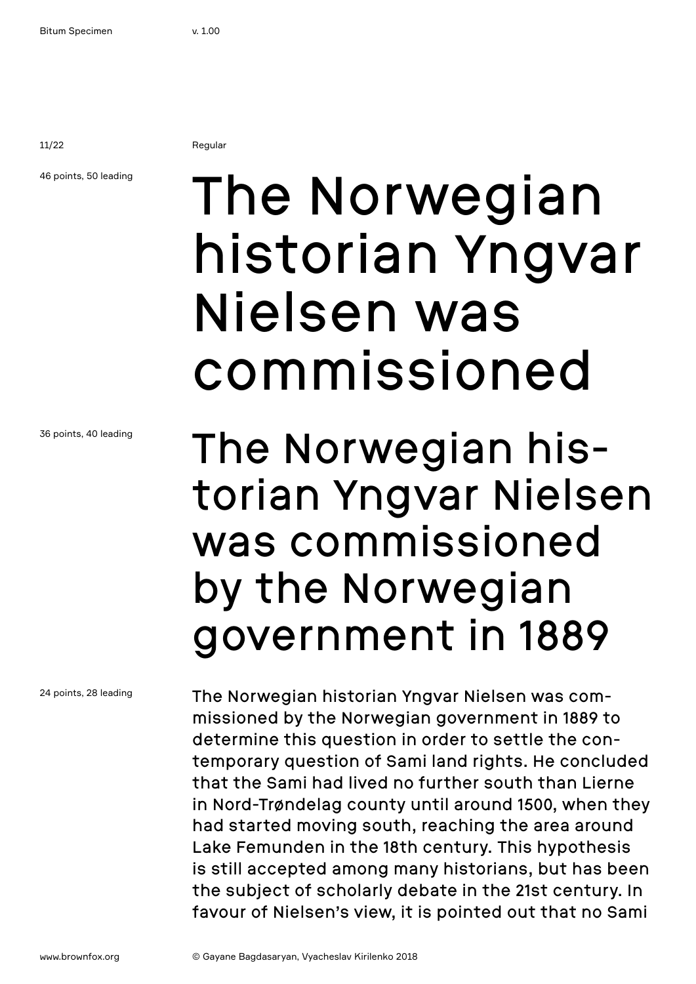11/22 Regular

### 46 points, 50 leading

## The Norwegian historian Yngvar Nielsen was commissioned

### 36 points, 40 leading

24 points, 28 leading

### The Norwegian historian Yngvar Nielsen was commissioned by the Norwegian government in 1889

is still accepted among many historians, but has been the subject of scholarly debate in the 21st century. In favour of Nielsen's view, it is pointed out that no Sami

The Norwegian historian Yngvar Nielsen was commissioned by the Norwegian government in 1889 to determine this question in order to settle the contemporary question of Sami land rights. He concluded that the Sami had lived no further south than Lierne in Nord-Trøndelag county until around 1500, when they had started moving south, reaching the area around Lake Femunden in the 18th century. This hypothesis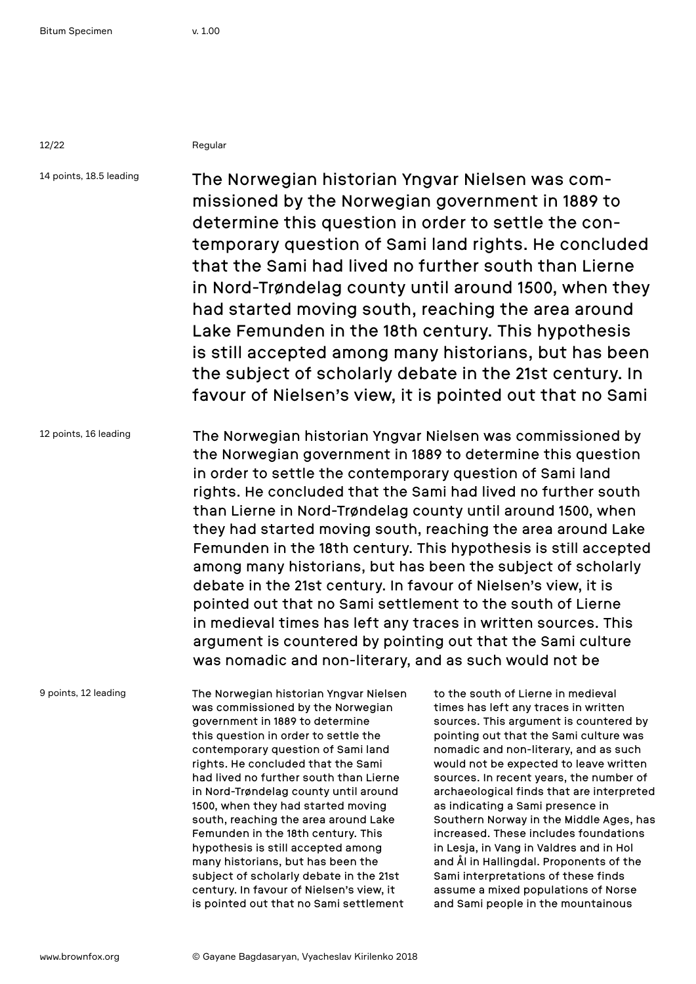12/22 Regular

14 points, 18.5 leading

The Norwegian historian Yngvar Nielsen was commissioned by the Norwegian government in 1889 to determine this question in order to settle the contemporary question of Sami land rights. He concluded that the Sami had lived no further south than Lierne in Nord-Trøndelag county until around 1500, when they had started moving south, reaching the area around Lake Femunden in the 18th century. This hypothesis is still accepted among many historians, but has been the subject of scholarly debate in the 21st century. In favour of Nielsen's view, it is pointed out that no Sami

12 points, 16 leading The Norwegian historian Yngvar Nielsen was commissioned by the Norwegian government in 1889 to determine this question in order to settle the contemporary question of Sami land rights. He concluded that the Sami had lived no further south than Lierne in Nord-Trøndelag county until around 1500, when they had started moving south, reaching the area around Lake Femunden in the 18th century. This hypothesis is still accepted among many historians, but has been the subject of scholarly debate in the 21st century. In favour of Nielsen's view, it is pointed out that no Sami settlement to the south of Lierne in medieval times has left any traces in written sources. This argument is countered by pointing out that the Sami culture was nomadic and non-literary, and as such would not be

9 points, 12 leading

The Norwegian historian Yngvar Nielsen was commissioned by the Norwegian government in 1889 to determine this question in order to settle the contemporary question of Sami land rights. He concluded that the Sami had lived no further south than Lierne in Nord-Trøndelag county until around 1500, when they had started moving south, reaching the area around Lake Femunden in the 18th century. This hypothesis is still accepted among many historians, but has been the subject of scholarly debate in the 21st century. In favour of Nielsen's view, it is pointed out that no Sami settlement

to the south of Lierne in medieval times has left any traces in written sources. This argument is countered by pointing out that the Sami culture was nomadic and non-literary, and as such would not be expected to leave written sources. In recent years, the number of archaeological finds that are interpreted as indicating a Sami presence in Southern Norway in the Middle Ages, has increased. These includes foundations in Lesja, in Vang in Valdres and in Hol and Ål in Hallingdal. Proponents of the Sami interpretations of these finds assume a mixed populations of Norse and Sami people in the mountainous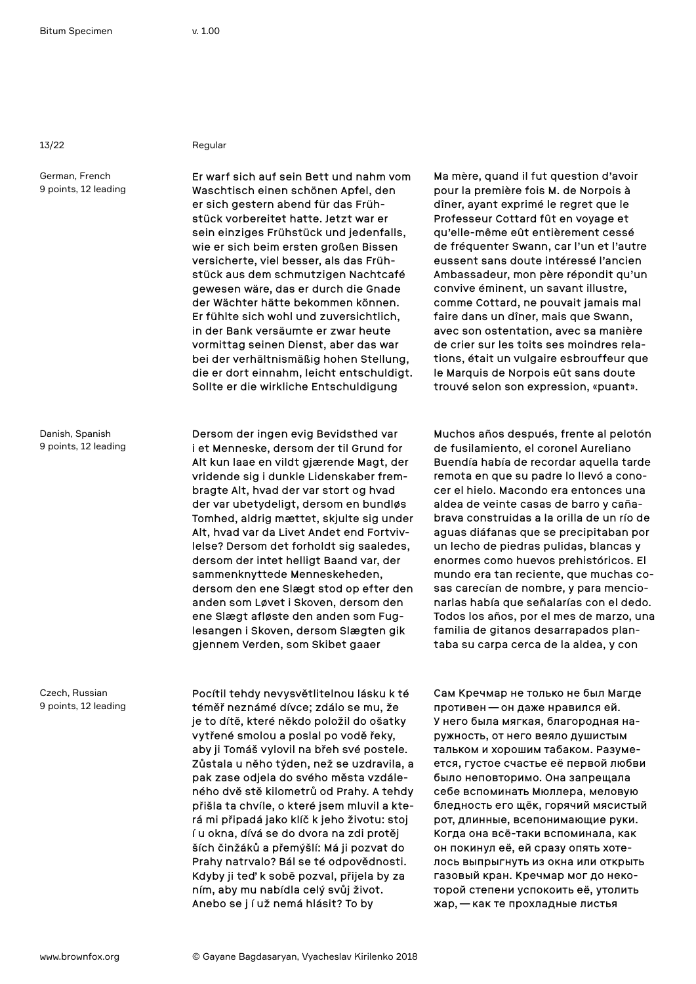German, French 9 points, 12 leading

Danish, Spanish 9 points, 12 leading

Czech, Russian 9 points, 12 leading

#### 13/22 Regular

Er warf sich auf sein Bett und nahm vom Waschtisch einen schönen Apfel, den er sich gestern abend für das Frühstück vorbereitet hatte. Jetzt war er sein einziges Frühstück und jedenfalls, wie er sich beim ersten großen Bissen versicherte, viel besser, als das Frühstück aus dem schmutzigen Nachtcafé gewesen wäre, das er durch die Gnade der Wächter hätte bekommen können. Er fühlte sich wohl und zuversichtlich, in der Bank versäumte er zwar heute vormittag seinen Dienst, aber das war bei der verhältnismäßig hohen Stellung, die er dort einnahm, leicht entschuldigt. Sollte er die wirkliche Entschuldigung

Dersom der ingen evig Bevidsthed var i et Menneske, dersom der til Grund for Alt kun laae en vildt gjærende Magt, der vridende sig i dunkle Lidenskaber frembragte Alt, hvad der var stort og hvad der var ubetydeligt, dersom en bundløs Tomhed, aldrig mættet, skjulte sig under Alt, hvad var da Livet Andet end Fortvivlelse? Dersom det forholdt sig saaledes, dersom der intet helligt Baand var, der sammenknyttede Menneskeheden, dersom den ene Slægt stod op efter den anden som Løvet i Skoven, dersom den ene Slægt afløste den anden som Fuglesangen i Skoven, dersom Slægten gik gjennem Verden, som Skibet gaaer

Pocítil tehdy nevysvětlitelnou lásku k té téměř neznámé dívce; zdálo se mu, že je to dítě, které někdo položil do ošatky vytřené smolou a poslal po vodě řeky, aby ji Tomáš vylovil na břeh své postele. Zůstala u něho týden, než se uzdravila, a pak zase odjela do svého města vzdáleného dvě stě kilometrů od Prahy. A tehdy přišla ta chvíle, o které jsem mluvil a která mi připadá jako klíč k jeho životu: stoj í u okna, dívá se do dvora na zdi protěj ších činžáků a přemýšlí: Má ji pozvat do Prahy natrvalo? Bál se té odpovědnosti. Kdyby ji teď k sobě pozval, přijela by za ním, aby mu nabídla celý svůj život. Anebo se j í už nemá hlásit? To by

Ma mère, quand il fut question d'avoir pour la première fois M. de Norpois à dîner, ayant exprimé le regret que le Professeur Cottard fût en voyage et qu'elle-même eût entièrement cessé de fréquenter Swann, car l'un et l'autre eussent sans doute intéressé l'ancien Ambassadeur, mon père répondit qu'un convive éminent, un savant illustre, comme Cottard, ne pouvait jamais mal faire dans un dîner, mais que Swann, avec son ostentation, avec sa manière de crier sur les toits ses moindres relations, était un vulgaire esbrouffeur que le Marquis de Norpois eût sans doute trouvé selon son expression, «puant».

Muchos años después, frente al pelotón de fusilamiento, el coronel Aureliano Buendía había de recordar aquella tarde remota en que su padre lo llevó a conocer el hielo. Macondo era entonces una aldea de veinte casas de barro y cañabrava construidas a la orilla de un río de aguas diáfanas que se precipitaban por un lecho de piedras pulidas, blancas y enormes como huevos prehistóricos. El mundo era tan reciente, que muchas cosas carecían de nombre, y para mencionarlas había que señalarías con el dedo. Todos los años, por el mes de marzo, una familia de gitanos desarrapados plantaba su carpa cerca de la aldea, y con

Сам Кречмар не только не был Магде противен—он даже нравился ей. У него была мягкая, благородная наружность, от него веяло душистым тальком и хорошим табаком. Разумеется, густое счастье её первой любви было неповторимо. Она запрещала себе вспоминать Мюллера, меловую бледность его щёк, горячий мясистый рот, длинные, всепонимающие руки. Когда она всё-таки вспоминала, как он покинул её, ей сразу опять хотелось выпрыгнуть из окна или открыть газовый кран. Кречмар мог до некоторой степени успокоить её, утолить жар,—как те прохладные листья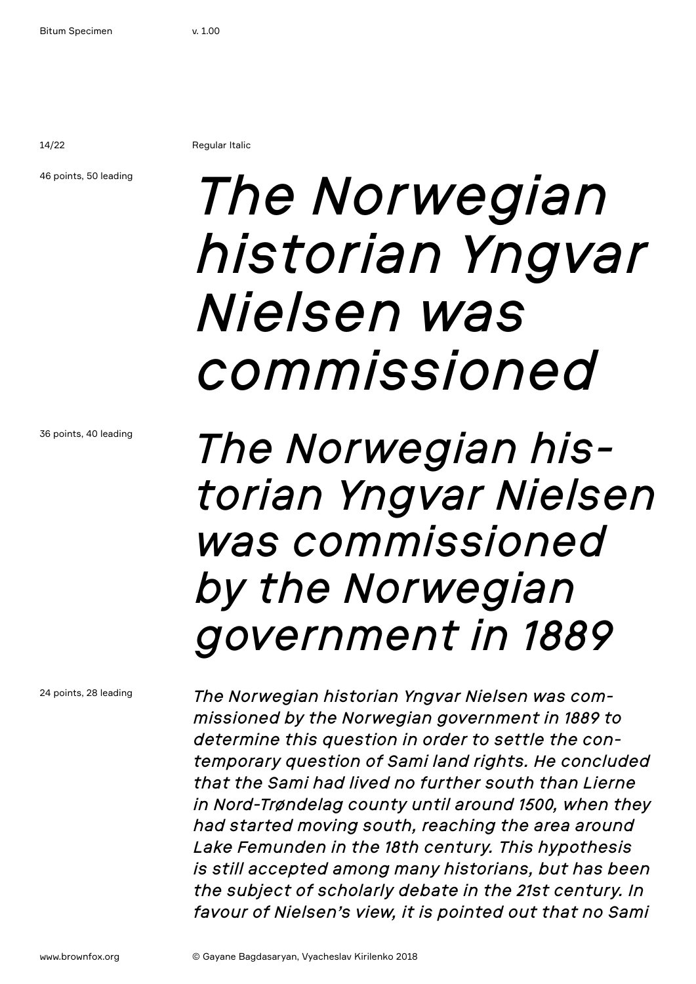14/22 Regular Italic

#### 46 points, 50 leading

## *The Norwegian historian Yngvar Nielsen was commissioned*

36 points, 40 leading

*The Norwegian historian Yngvar Nielsen was commissioned by the Norwegian government in 1889* 

24 points, 28 leading

*The Norwegian historian Yngvar Nielsen was commissioned by the Norwegian government in 1889 to determine this question in order to settle the contemporary question of Sami land rights. He concluded that the Sami had lived no further south than Lierne in Nord-Trøndelag county until around 1500, when they had started moving south, reaching the area around Lake Femunden in the 18th century. This hypothesis is still accepted among many historians, but has been the subject of scholarly debate in the 21st century. In favour of Nielsen's view, it is pointed out that no Sami*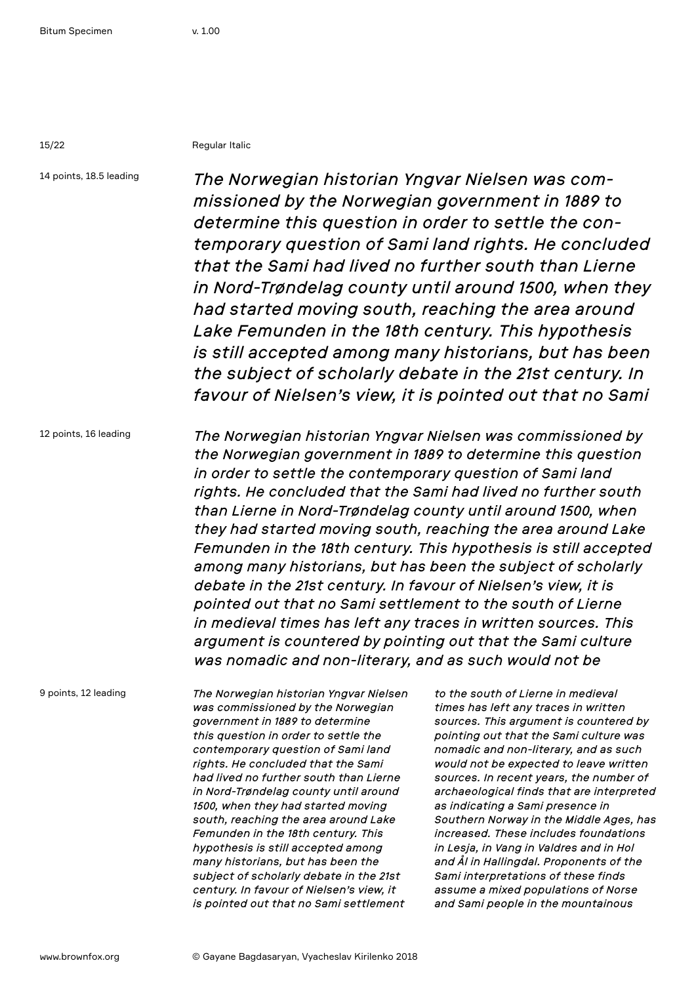15/22 Regular Italic

14 points, 18.5 leading *The Norwegian historian Yngvar Nielsen was commissioned by the Norwegian government in 1889 to determine this question in order to settle the contemporary question of Sami land rights. He concluded that the Sami had lived no further south than Lierne in Nord-Trøndelag county until around 1500, when they had started moving south, reaching the area around Lake Femunden in the 18th century. This hypothesis is still accepted among many historians, but has been the subject of scholarly debate in the 21st century. In favour of Nielsen's view, it is pointed out that no Sami* 

12 points, 16 leading *The Norwegian historian Yngvar Nielsen was commissioned by the Norwegian government in 1889 to determine this question in order to settle the contemporary question of Sami land rights. He concluded that the Sami had lived no further south than Lierne in Nord-Trøndelag county until around 1500, when they had started moving south, reaching the area around Lake Femunden in the 18th century. This hypothesis is still accepted among many historians, but has been the subject of scholarly debate in the 21st century. In favour of Nielsen's view, it is pointed out that no Sami settlement to the south of Lierne in medieval times has left any traces in written sources. This argument is countered by pointing out that the Sami culture was nomadic and non-literary, and as such would not be* 

9 points, 12 leading

*The Norwegian historian Yngvar Nielsen was commissioned by the Norwegian government in 1889 to determine this question in order to settle the contemporary question of Sami land rights. He concluded that the Sami had lived no further south than Lierne in Nord-Trøndelag county until around 1500, when they had started moving south, reaching the area around Lake Femunden in the 18th century. This hypothesis is still accepted among many historians, but has been the subject of scholarly debate in the 21st century. In favour of Nielsen's view, it is pointed out that no Sami settlement* 

*to the south of Lierne in medieval times has left any traces in written sources. This argument is countered by pointing out that the Sami culture was nomadic and non-literary, and as such would not be expected to leave written sources. In recent years, the number of archaeological finds that are interpreted as indicating a Sami presence in Southern Norway in the Middle Ages, has increased. These includes foundations in Lesja, in Vang in Valdres and in Hol and Ål in Hallingdal. Proponents of the Sami interpretations of these finds assume a mixed populations of Norse and Sami people in the mountainous*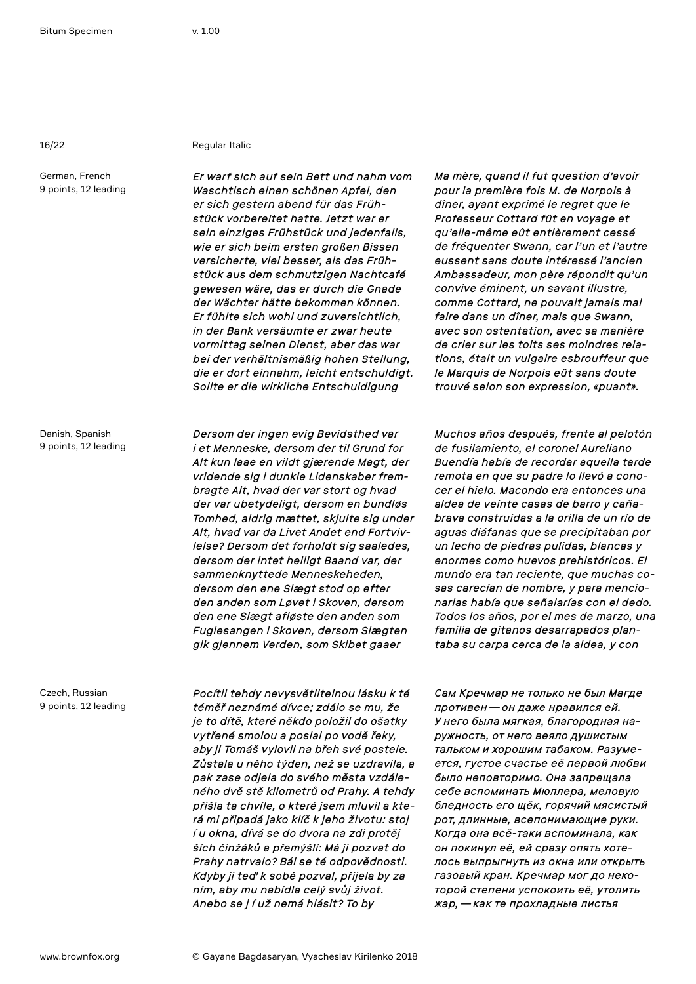German, French

9 points, 12 leading

16/22 Regular Italic

*Er warf sich auf sein Bett und nahm vom Waschtisch einen schönen Apfel, den er sich gestern abend für das Frühstück vorbereitet hatte. Jetzt war er sein einziges Frühstück und jedenfalls, wie er sich beim ersten großen Bissen versicherte, viel besser, als das Frühstück aus dem schmutzigen Nachtcafé gewesen wäre, das er durch die Gnade der Wächter hätte bekommen können. Er fühlte sich wohl und zuversichtlich, in der Bank versäumte er zwar heute vormittag seinen Dienst, aber das war bei der verhältnismäßig hohen Stellung, die er dort einnahm, leicht entschuldigt. Sollte er die wirkliche Entschuldigung* 

Danish, Spanish 9 points, 12 leading

*Dersom der ingen evig Bevidsthed var i et Menneske, dersom der til Grund for Alt kun laae en vildt gjærende Magt, der vridende sig i dunkle Lidenskaber frembragte Alt, hvad der var stort og hvad der var ubetydeligt, dersom en bundløs Tomhed, aldrig mættet, skjulte sig under Alt, hvad var da Livet Andet end Fortvivlelse? Dersom det forholdt sig saaledes, dersom der intet helligt Baand var, der sammenknyttede Menneskeheden, dersom den ene Slægt stod op efter den anden som Løvet i Skoven, dersom den ene Slægt afløste den anden som Fuglesangen i Skoven, dersom Slægten gik gjennem Verden, som Skibet gaaer* 

*Pocítil tehdy nevysvětlitelnou lásku k té téměř neznámé dívce; zdálo se mu, že je to dítě, které někdo položil do ošatky vytřené smolou a poslal po vodě řeky, aby ji Tomáš vylovil na břeh své postele. Zůstala u něho týden, než se uzdravila, a pak zase odjela do svého města vzdáleného dvě stě kilometrů od Prahy. A tehdy přišla ta chvíle, o které jsem mluvil a která mi připadá jako klíč k jeho životu: stoj í u okna, dívá se do dvora na zdi protěj ších činžáků a přemýšlí: Má ji pozvat do Prahy natrvalo? Bál se té odpovědnosti. Kdyby ji teď k sobě pozval, přijela by za ním, aby mu nabídla celý svůj život. Anebo se j í už nemá hlásit? To by* 

*Ma mère, quand il fut question d'avoir pour la première fois M. de Norpois à dîner, ayant exprimé le regret que le Professeur Cottard fût en voyage et qu'elle-même eût entièrement cessé de fréquenter Swann, car l'un et l'autre eussent sans doute intéressé l'ancien Ambassadeur, mon père répondit qu'un convive éminent, un savant illustre, comme Cottard, ne pouvait jamais mal faire dans un dîner, mais que Swann, avec son ostentation, avec sa manière de crier sur les toits ses moindres relations, était un vulgaire esbrouffeur que le Marquis de Norpois eût sans doute trouvé selon son expression, «puant».* 

*Muchos años después, frente al pelotón de fusilamiento, el coronel Aureliano Buendía había de recordar aquella tarde remota en que su padre lo llevó a conocer el hielo. Macondo era entonces una aldea de veinte casas de barro y cañabrava construidas a la orilla de un río de aguas diáfanas que se precipitaban por un lecho de piedras pulidas, blancas y enormes como huevos prehistóricos. El mundo era tan reciente, que muchas cosas carecían de nombre, y para mencionarlas había que señalarías con el dedo. Todos los años, por el mes de marzo, una familia de gitanos desarrapados plantaba su carpa cerca de la aldea, y con* 

*Сам Кречмар не только не был Магде противен—он даже нравился ей. У него была мягкая, благородная наружность, от него веяло душистым тальком и хорошим табаком. Разумеется, густое счастье её первой любви было неповторимо. Она запрещала себе вспоминать Мюллера, меловую бледность его щёк, горячий мясистый рот, длинные, всепонимающие руки. Когда она всё-таки вспоминала, как он покинул её, ей сразу опять хотелось выпрыгнуть из окна или открыть газовый кран. Кречмар мог до некоторой степени успокоить её, утолить жар,—как те прохладные листья* 

Czech, Russian 9 points, 12 leading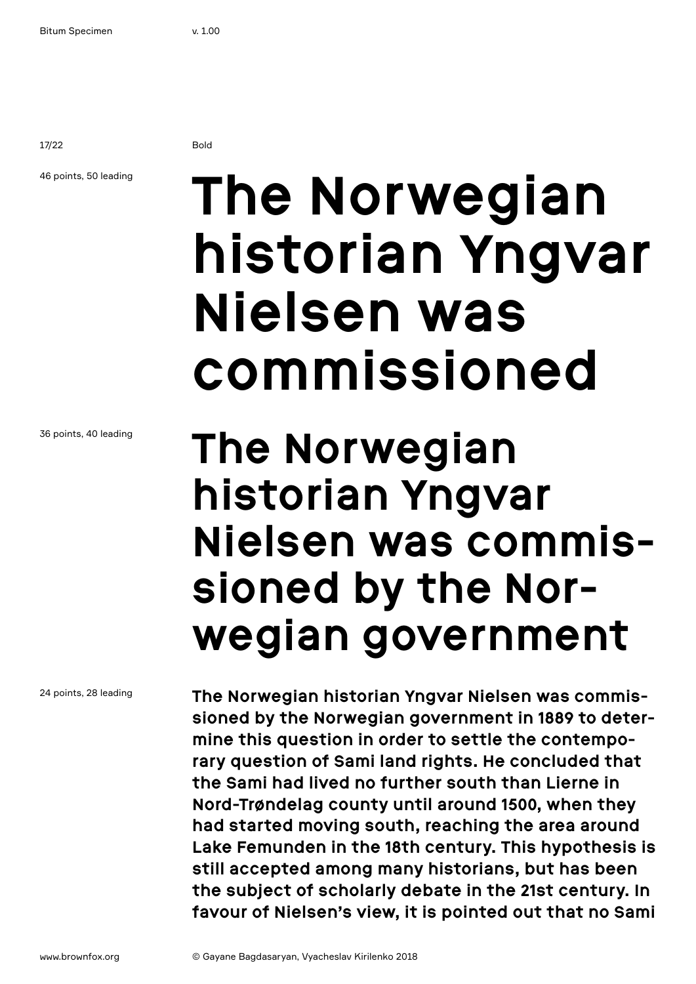17/22 Bold

### 46 points, 50 leading

## **The Norwegian historian Yngvar Nielsen was commissioned**

### **The Norwegian historian Yngvar Nielsen was commissioned by the Norwegian government**

**The Norwegian historian Yngvar Nielsen was commissioned by the Norwegian government in 1889 to determine this question in order to settle the contemporary question of Sami land rights. He concluded that the Sami had lived no further south than Lierne in Nord-Trøndelag county until around 1500, when they had started moving south, reaching the area around Lake Femunden in the 18th century. This hypothesis is still accepted among many historians, but has been the subject of scholarly debate in the 21st century. In favour of Nielsen's view, it is pointed out that no Sami** 

36 points, 40 leading

24 points, 28 leading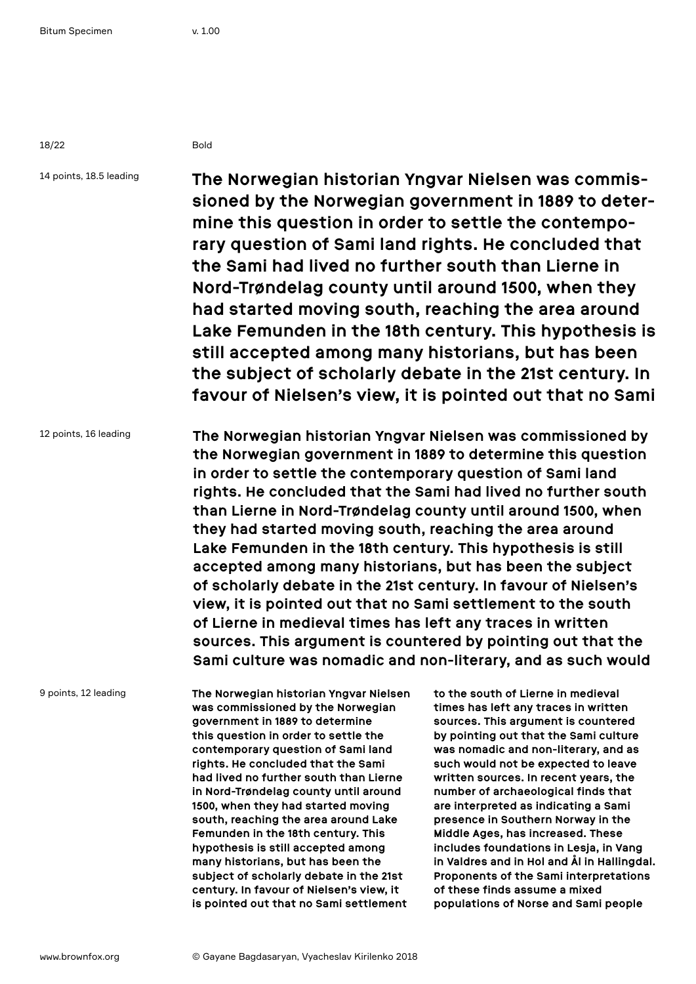18/22 Bold

14 points, 18.5 leading

**The Norwegian historian Yngvar Nielsen was commissioned by the Norwegian government in 1889 to determine this question in order to settle the contemporary question of Sami land rights. He concluded that the Sami had lived no further south than Lierne in Nord-Trøndelag county until around 1500, when they had started moving south, reaching the area around Lake Femunden in the 18th century. This hypothesis is still accepted among many historians, but has been the subject of scholarly debate in the 21st century. In favour of Nielsen's view, it is pointed out that no Sami** 

12 points, 16 leading **The Norwegian historian Yngvar Nielsen was commissioned by the Norwegian government in 1889 to determine this question in order to settle the contemporary question of Sami land rights. He concluded that the Sami had lived no further south than Lierne in Nord-Trøndelag county until around 1500, when they had started moving south, reaching the area around Lake Femunden in the 18th century. This hypothesis is still accepted among many historians, but has been the subject of scholarly debate in the 21st century. In favour of Nielsen's view, it is pointed out that no Sami settlement to the south of Lierne in medieval times has left any traces in written sources. This argument is countered by pointing out that the Sami culture was nomadic and non-literary, and as such would** 

9 points, 12 leading

**The Norwegian historian Yngvar Nielsen was commissioned by the Norwegian government in 1889 to determine this question in order to settle the contemporary question of Sami land rights. He concluded that the Sami had lived no further south than Lierne in Nord-Trøndelag county until around 1500, when they had started moving south, reaching the area around Lake Femunden in the 18th century. This hypothesis is still accepted among many historians, but has been the subject of scholarly debate in the 21st century. In favour of Nielsen's view, it is pointed out that no Sami settlement** 

**to the south of Lierne in medieval times has left any traces in written sources. This argument is countered by pointing out that the Sami culture was nomadic and non-literary, and as such would not be expected to leave written sources. In recent years, the number of archaeological finds that are interpreted as indicating a Sami presence in Southern Norway in the Middle Ages, has increased. These includes foundations in Lesja, in Vang in Valdres and in Hol and Ål in Hallingdal. Proponents of the Sami interpretations of these finds assume a mixed populations of Norse and Sami people**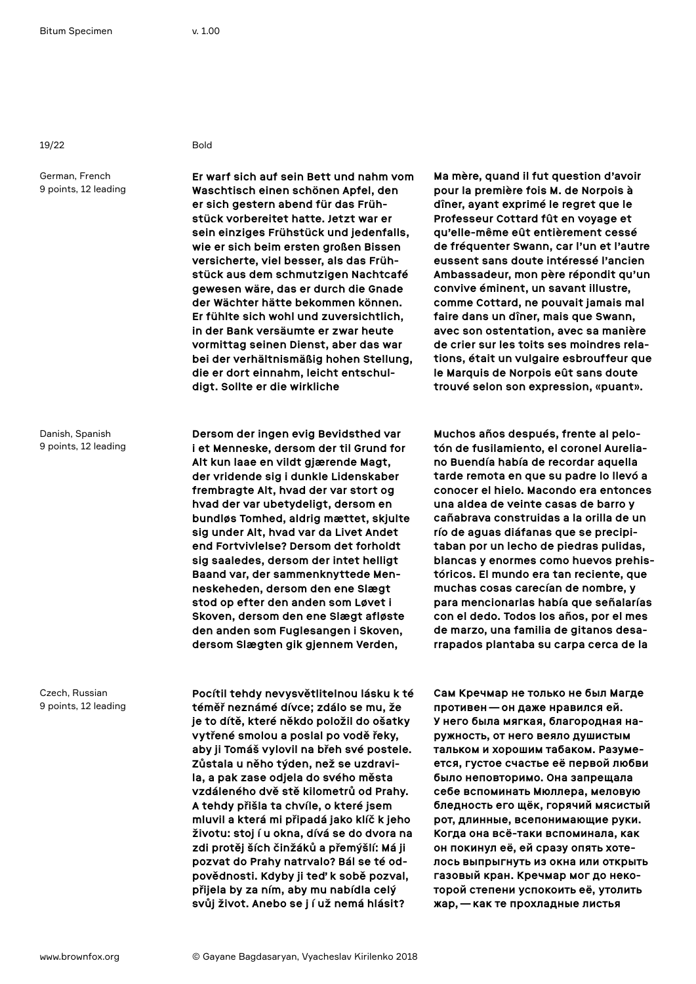19/22 Bold

German, French 9 points, 12 leading

Danish, Spanish 9 points, 12 leading

Czech, Russian 9 points, 12 leading

**Er warf sich auf sein Bett und nahm vom Waschtisch einen schönen Apfel, den er sich gestern abend für das Frühstück vorbereitet hatte. Jetzt war er sein einziges Frühstück und jedenfalls, wie er sich beim ersten großen Bissen versicherte, viel besser, als das Frühstück aus dem schmutzigen Nachtcafé gewesen wäre, das er durch die Gnade der Wächter hätte bekommen können. Er fühlte sich wohl und zuversichtlich, in der Bank versäumte er zwar heute vormittag seinen Dienst, aber das war bei der verhältnismäßig hohen Stellung, die er dort einnahm, leicht entschuldigt. Sollte er die wirkliche** 

**Dersom der ingen evig Bevidsthed var i et Menneske, dersom der til Grund for Alt kun laae en vildt gjærende Magt, der vridende sig i dunkle Lidenskaber frembragte Alt, hvad der var stort og hvad der var ubetydeligt, dersom en bundløs Tomhed, aldrig mættet, skjulte sig under Alt, hvad var da Livet Andet end Fortvivlelse? Dersom det forholdt sig saaledes, dersom der intet helligt Baand var, der sammenknyttede Menneskeheden, dersom den ene Slægt stod op efter den anden som Løvet i Skoven, dersom den ene Slægt afløste den anden som Fuglesangen i Skoven, dersom Slægten gik gjennem Verden,** 

**Pocítil tehdy nevysvětlitelnou lásku k té téměř neznámé dívce; zdálo se mu, že je to dítě, které někdo položil do ošatky vytřené smolou a poslal po vodě řeky, aby ji Tomáš vylovil na břeh své postele. Zůstala u něho týden, než se uzdravila, a pak zase odjela do svého města vzdáleného dvě stě kilometrů od Prahy. A tehdy přišla ta chvíle, o které jsem mluvil a která mi připadá jako klíč k jeho životu: stoj í u okna, dívá se do dvora na zdi protěj ších činžáků a přemýšlí: Má ji pozvat do Prahy natrvalo? Bál se té odpovědnosti. Kdyby ji teď k sobě pozval, přijela by za ním, aby mu nabídla celý svůj život. Anebo se j í už nemá hlásit?** 

**Ma mère, quand il fut question d'avoir pour la première fois M. de Norpois à dîner, ayant exprimé le regret que le Professeur Cottard fût en voyage et qu'elle-même eût entièrement cessé de fréquenter Swann, car l'un et l'autre eussent sans doute intéressé l'ancien Ambassadeur, mon père répondit qu'un convive éminent, un savant illustre, comme Cottard, ne pouvait jamais mal faire dans un dîner, mais que Swann, avec son ostentation, avec sa manière de crier sur les toits ses moindres relations, était un vulgaire esbrouffeur que le Marquis de Norpois eût sans doute trouvé selon son expression, «puant».** 

**Muchos años después, frente al pelotón de fusilamiento, el coronel Aureliano Buendía había de recordar aquella tarde remota en que su padre lo llevó a conocer el hielo. Macondo era entonces una aldea de veinte casas de barro y cañabrava construidas a la orilla de un río de aguas diáfanas que se precipitaban por un lecho de piedras pulidas, blancas y enormes como huevos prehistóricos. El mundo era tan reciente, que muchas cosas carecían de nombre, y para mencionarlas había que señalarías con el dedo. Todos los años, por el mes de marzo, una familia de gitanos desarrapados plantaba su carpa cerca de la** 

**Сам Кречмар не только не был Магде противен—он даже нравился ей. У него была мягкая, благородная наружность, от него веяло душистым тальком и хорошим табаком. Разумеется, густое счастье её первой любви было неповторимо. Она запрещала себе вспоминать Мюллера, меловую бледность его щёк, горячий мясистый рот, длинные, всепонимающие руки. Когда она всё-таки вспоминала, как он покинул её, ей сразу опять хотелось выпрыгнуть из окна или открыть газовый кран. Кречмар мог до некоторой степени успокоить её, утолить жар,—как те прохладные листья**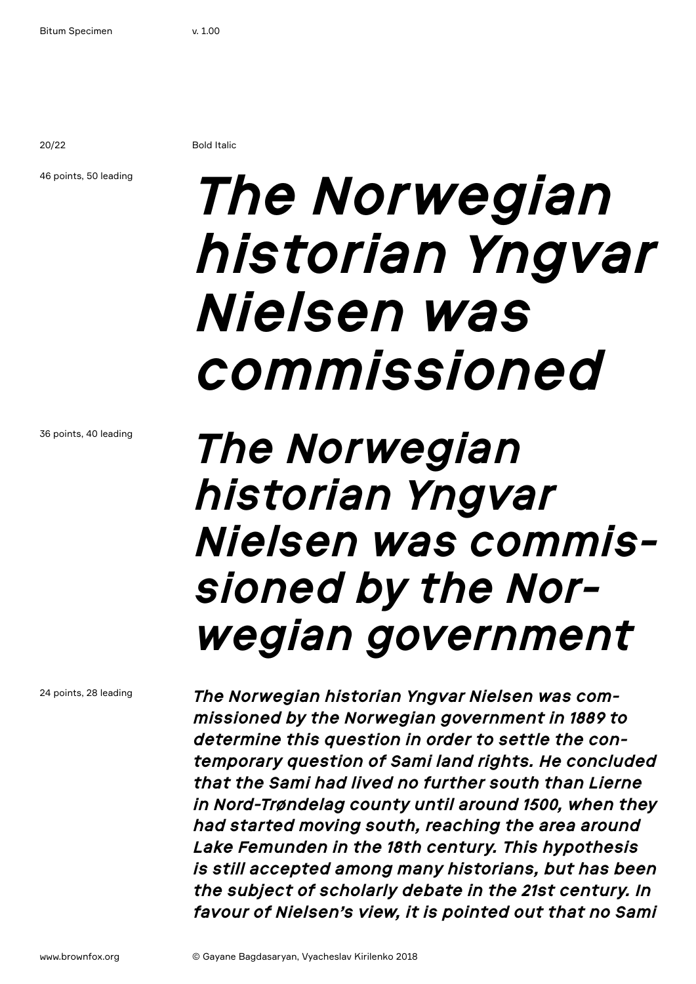20/22 Bold Italic

### 46 points, 50 leading

## *The Norwegian historian Yngvar Nielsen was commissioned*

36 points, 40 leading

### *The Norwegian historian Yngvar Nielsen was commissioned by the Norwegian government*

24 points, 28 leading

*The Norwegian historian Yngvar Nielsen was commissioned by the Norwegian government in 1889 to determine this question in order to settle the contemporary question of Sami land rights. He concluded that the Sami had lived no further south than Lierne in Nord-Trøndelag county until around 1500, when they had started moving south, reaching the area around Lake Femunden in the 18th century. This hypothesis is still accepted among many historians, but has been the subject of scholarly debate in the 21st century. In favour of Nielsen's view, it is pointed out that no Sami*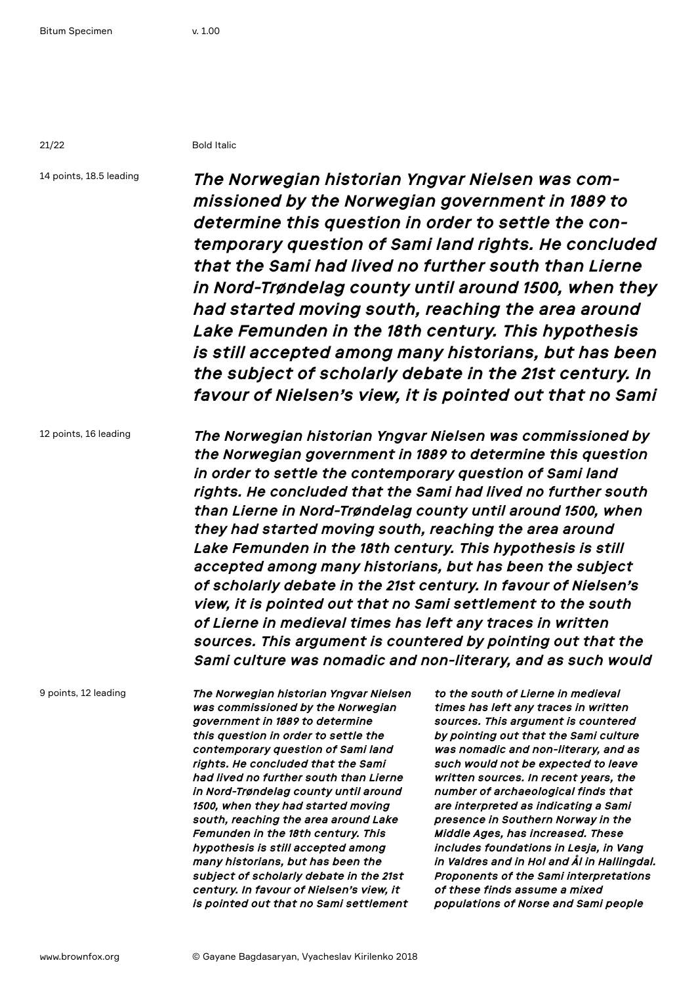21/22 Bold Italic

14 points, 18.5 leading

*The Norwegian historian Yngvar Nielsen was commissioned by the Norwegian government in 1889 to determine this question in order to settle the contemporary question of Sami land rights. He concluded that the Sami had lived no further south than Lierne in Nord-Trøndelag county until around 1500, when they had started moving south, reaching the area around Lake Femunden in the 18th century. This hypothesis is still accepted among many historians, but has been the subject of scholarly debate in the 21st century. In favour of Nielsen's view, it is pointed out that no Sami* 

12 points, 16 leading

*The Norwegian historian Yngvar Nielsen was commissioned by the Norwegian government in 1889 to determine this question in order to settle the contemporary question of Sami land rights. He concluded that the Sami had lived no further south than Lierne in Nord-Trøndelag county until around 1500, when they had started moving south, reaching the area around Lake Femunden in the 18th century. This hypothesis is still accepted among many historians, but has been the subject of scholarly debate in the 21st century. In favour of Nielsen's view, it is pointed out that no Sami settlement to the south of Lierne in medieval times has left any traces in written sources. This argument is countered by pointing out that the Sami culture was nomadic and non-literary, and as such would* 

9 points, 12 leading

*The Norwegian historian Yngvar Nielsen was commissioned by the Norwegian government in 1889 to determine this question in order to settle the contemporary question of Sami land rights. He concluded that the Sami had lived no further south than Lierne in Nord-Trøndelag county until around 1500, when they had started moving south, reaching the area around Lake Femunden in the 18th century. This hypothesis is still accepted among many historians, but has been the subject of scholarly debate in the 21st century. In favour of Nielsen's view, it is pointed out that no Sami settlement* 

*to the south of Lierne in medieval times has left any traces in written sources. This argument is countered by pointing out that the Sami culture was nomadic and non-literary, and as such would not be expected to leave written sources. In recent years, the number of archaeological finds that are interpreted as indicating a Sami presence in Southern Norway in the Middle Ages, has increased. These includes foundations in Lesja, in Vang in Valdres and in Hol and Ål in Hallingdal. Proponents of the Sami interpretations of these finds assume a mixed populations of Norse and Sami people*